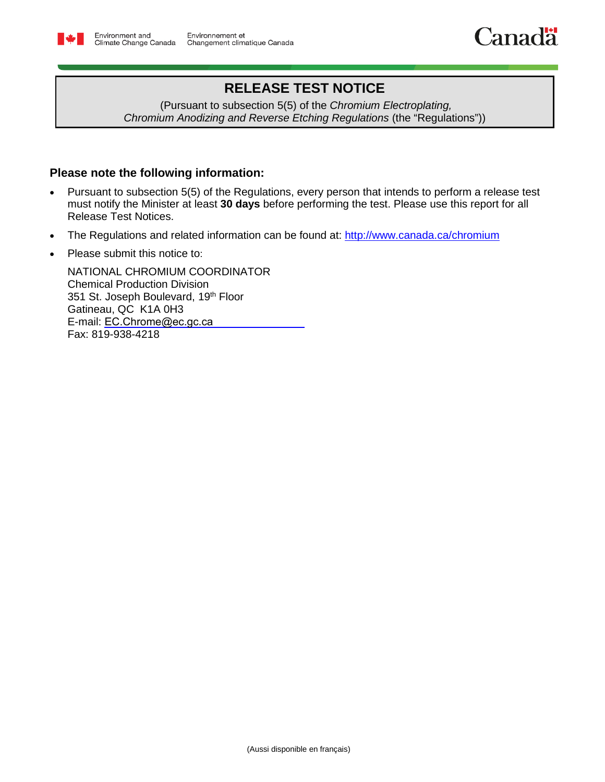

## **RELEASE TEST NOTICE**

(Pursuant to subsection 5(5) of the *Chromium Electroplating, Chromium Anodizing and Reverse Etching Regulations* (the "Regulations"))

## **Please note the following information:**

- Pursuant to subsection 5(5) of the Regulations, every person that intends to perform a release test must notify the Minister at least **30 days** before performing the test. Please use this report for all Release Test Notices.
- The Regulations and related information can be found at: <http://www.canada.ca/chromium>
- Please submit this notice to:

NATIONAL CHROMIUM COORDINATOR Chemical Production Division 351 St. Joseph Boulevard, 19<sup>th</sup> Floor Gatineau, QC K1A 0H3 E-mail: EC.Chrome@ec.gc.ca Fax: 819-938-4218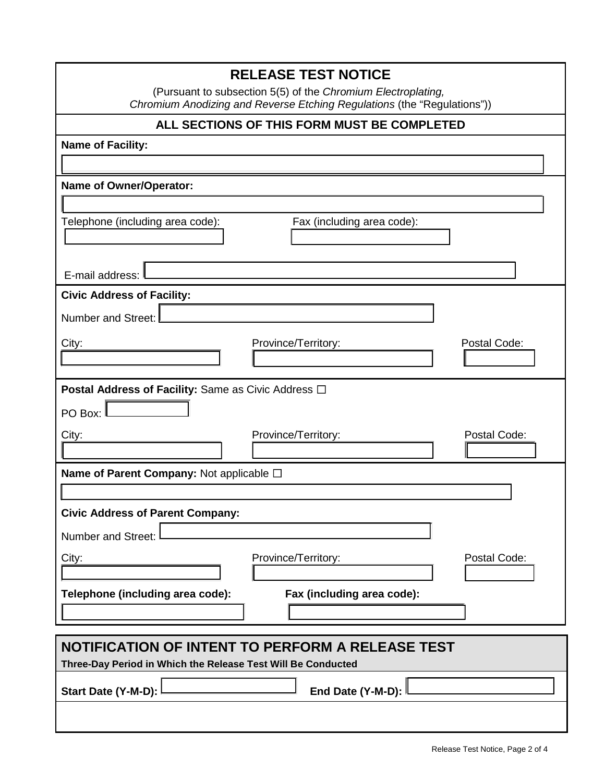| <b>RELEASE TEST NOTICE</b>                                                                                                              |  |  |  |  |  |
|-----------------------------------------------------------------------------------------------------------------------------------------|--|--|--|--|--|
| (Pursuant to subsection 5(5) of the Chromium Electroplating,<br>Chromium Anodizing and Reverse Etching Regulations (the "Regulations")) |  |  |  |  |  |
| ALL SECTIONS OF THIS FORM MUST BE COMPLETED                                                                                             |  |  |  |  |  |
| <b>Name of Facility:</b>                                                                                                                |  |  |  |  |  |
|                                                                                                                                         |  |  |  |  |  |
| <b>Name of Owner/Operator:</b>                                                                                                          |  |  |  |  |  |
|                                                                                                                                         |  |  |  |  |  |
| Telephone (including area code):<br>Fax (including area code):                                                                          |  |  |  |  |  |
|                                                                                                                                         |  |  |  |  |  |
| E-mail address:                                                                                                                         |  |  |  |  |  |
| <b>Civic Address of Facility:</b>                                                                                                       |  |  |  |  |  |
| Number and Street:                                                                                                                      |  |  |  |  |  |
| City:<br>Province/Territory:<br>Postal Code:                                                                                            |  |  |  |  |  |
|                                                                                                                                         |  |  |  |  |  |
| <b>Postal Address of Facility: Same as Civic Address □</b>                                                                              |  |  |  |  |  |
| PO Box:                                                                                                                                 |  |  |  |  |  |
| Postal Code:<br>City:<br>Province/Territory:                                                                                            |  |  |  |  |  |
|                                                                                                                                         |  |  |  |  |  |
| Name of Parent Company: Not applicable □                                                                                                |  |  |  |  |  |
|                                                                                                                                         |  |  |  |  |  |
| <b>Civic Address of Parent Company:</b>                                                                                                 |  |  |  |  |  |
| <b>Number and Street:</b>                                                                                                               |  |  |  |  |  |
| Province/Territory:<br>Postal Code:<br>City:                                                                                            |  |  |  |  |  |
|                                                                                                                                         |  |  |  |  |  |
| Fax (including area code):<br>Telephone (including area code):                                                                          |  |  |  |  |  |
|                                                                                                                                         |  |  |  |  |  |
| NOTIFICATION OF INTENT TO PERFORM A RELEASE TEST                                                                                        |  |  |  |  |  |
| Three-Day Period in Which the Release Test Will Be Conducted                                                                            |  |  |  |  |  |
| End Date (Y-M-D):<br>Start Date (Y-M-D):                                                                                                |  |  |  |  |  |
|                                                                                                                                         |  |  |  |  |  |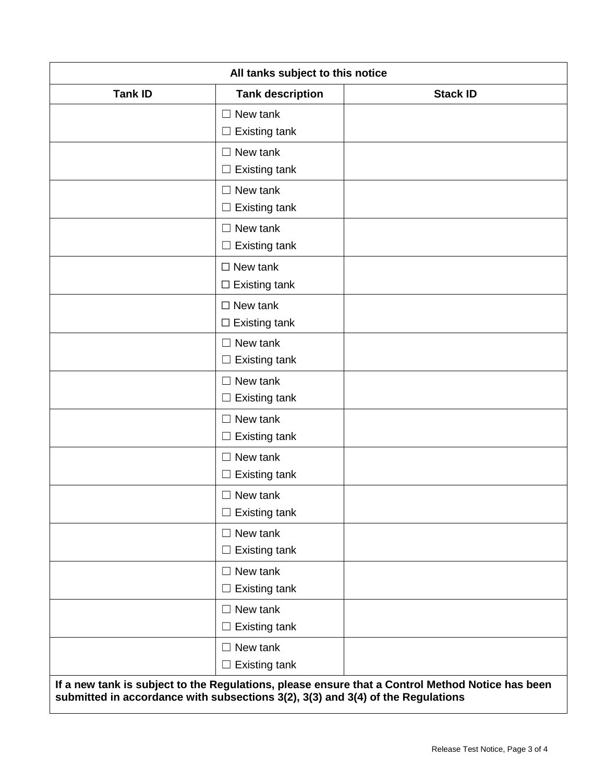| All tanks subject to this notice |                                                       |                                                                                                  |  |
|----------------------------------|-------------------------------------------------------|--------------------------------------------------------------------------------------------------|--|
| <b>Tank ID</b>                   | <b>Tank description</b>                               | <b>Stack ID</b>                                                                                  |  |
|                                  | $\Box$ New tank<br><b>Existing tank</b><br>$\Box$     |                                                                                                  |  |
|                                  | New tank<br>$\Box$<br><b>Existing tank</b><br>$\Box$  |                                                                                                  |  |
|                                  | $\Box$ New tank<br>$\Box$ Existing tank               |                                                                                                  |  |
|                                  | $\Box$ New tank<br><b>Existing tank</b><br>$\Box$     |                                                                                                  |  |
|                                  | $\Box$ New tank<br>$\Box$ Existing tank               |                                                                                                  |  |
|                                  | $\Box$ New tank<br>$\Box$ Existing tank               |                                                                                                  |  |
|                                  | $\Box$ New tank<br><b>Existing tank</b><br>$\Box$     |                                                                                                  |  |
|                                  | $\Box$ New tank<br><b>Existing tank</b><br>⊔          |                                                                                                  |  |
|                                  | New tank<br>$\perp$<br><b>Existing tank</b><br>$\Box$ |                                                                                                  |  |
|                                  | $\Box$ New tank<br><b>Existing tank</b><br>$\Box$     |                                                                                                  |  |
|                                  | $\Box$ New tank<br>$\Box$ Existing tank               |                                                                                                  |  |
|                                  | New tank<br>$\Box$<br><b>Existing tank</b><br>Ц       |                                                                                                  |  |
|                                  | $\Box$ New tank<br><b>Existing tank</b><br>$\Box$     |                                                                                                  |  |
|                                  | New tank<br>$\Box$<br><b>Existing tank</b><br>$\Box$  |                                                                                                  |  |
|                                  | $\Box$ New tank<br>$\Box$ Existing tank               | If a now tank is subject to the Pequistions, please ensure that a Control Method Notice has been |  |

**If a new tank is subject to the Regulations, please ensure that a Control Method Notice has been submitted in accordance with subsections 3(2), 3(3) and 3(4) of the Regulations**